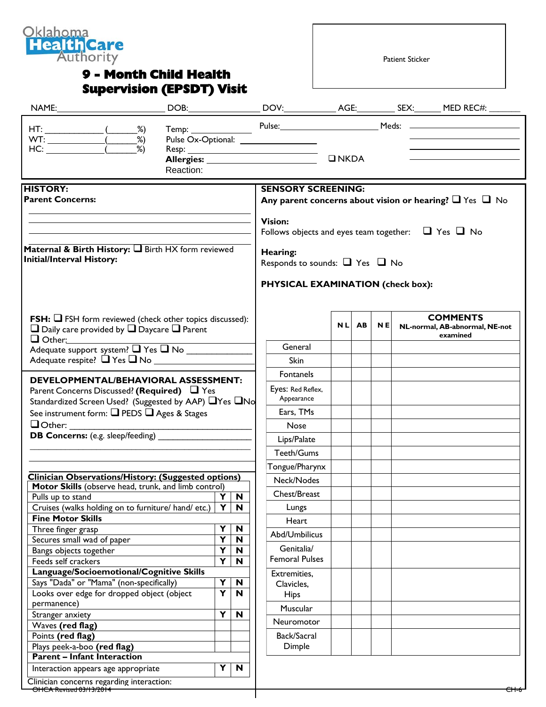

## **Supervision (EPSDT) Visit**

Patient Sticker

|                                                                                                                                                                                                                                                                                                               |           |                           | Pulse Ox-Optional: ___________________                                                         |            |           |           |  | Temp: Pulse: Pulse: Meds: 2008.                               |
|---------------------------------------------------------------------------------------------------------------------------------------------------------------------------------------------------------------------------------------------------------------------------------------------------------------|-----------|---------------------------|------------------------------------------------------------------------------------------------|------------|-----------|-----------|--|---------------------------------------------------------------|
|                                                                                                                                                                                                                                                                                                               | Reaction: |                           |                                                                                                |            |           |           |  |                                                               |
| <b>HISTORY:</b><br><b>Parent Concerns:</b>                                                                                                                                                                                                                                                                    |           |                           | <b>SENSORY SCREENING:</b><br>Any parent concerns about vision or hearing? $\Box$ Yes $\Box$ No |            |           |           |  |                                                               |
|                                                                                                                                                                                                                                                                                                               |           |                           | <b>Vision:</b><br>Follows objects and eyes team together: $\Box$ Yes $\Box$ No                 |            |           |           |  |                                                               |
| Maternal & Birth History: I Birth HX form reviewed<br><b>Initial/Interval History:</b>                                                                                                                                                                                                                        |           |                           | Hearing:<br>Responds to sounds: $\Box$ Yes $\Box$ No<br>PHYSICAL EXAMINATION (check box):      |            |           |           |  |                                                               |
| <b>FSH:</b> $\Box$ FSH form reviewed (check other topics discussed):<br>$\Box$ Daily care provided by $\Box$ Daycare $\Box$ Parent                                                                                                                                                                            |           |                           |                                                                                                | <b>NLI</b> | <b>AB</b> | <b>NE</b> |  | <b>COMMENTS</b><br>NL-normal, AB-abnormal, NE-not<br>examined |
| $\Box$ Other: $\Box$                                                                                                                                                                                                                                                                                          |           |                           | General                                                                                        |            |           |           |  |                                                               |
| Adequate support system? T Yes T No<br><b>DEVELOPMENTAL/BEHAVIORAL ASSESSMENT:</b><br>Parent Concerns Discussed? (Required) $\Box$ Yes<br>Standardized Screen Used? (Suggested by AAP) □ Yes □ No<br>See instrument form: Q PEDS Q Ages & Stages<br>$\Box$ Other:<br><b>DB Concerns:</b> (e.g. sleep/feeding) |           |                           | Skin                                                                                           |            |           |           |  |                                                               |
|                                                                                                                                                                                                                                                                                                               |           |                           | <b>Fontanels</b>                                                                               |            |           |           |  |                                                               |
|                                                                                                                                                                                                                                                                                                               |           |                           | Eyes: Red Reflex,<br>Appearance                                                                |            |           |           |  |                                                               |
|                                                                                                                                                                                                                                                                                                               |           |                           | Ears, TMs                                                                                      |            |           |           |  |                                                               |
|                                                                                                                                                                                                                                                                                                               |           |                           | <b>Nose</b>                                                                                    |            |           |           |  |                                                               |
|                                                                                                                                                                                                                                                                                                               |           |                           | Lips/Palate                                                                                    |            |           |           |  |                                                               |
|                                                                                                                                                                                                                                                                                                               |           |                           | Teeth/Gums                                                                                     |            |           |           |  |                                                               |
|                                                                                                                                                                                                                                                                                                               |           |                           | Tongue/Pharynx                                                                                 |            |           |           |  |                                                               |
| Clinician Observations/History: (Suggested options)                                                                                                                                                                                                                                                           |           |                           | Neck/Nodes                                                                                     |            |           |           |  |                                                               |
| Motor Skills (observe head, trunk, and limb control)                                                                                                                                                                                                                                                          |           |                           | Chest/Breast                                                                                   |            |           |           |  |                                                               |
| Pulls up to stand                                                                                                                                                                                                                                                                                             | Y<br>Y    | $\mathbf N$<br>N          |                                                                                                |            |           |           |  |                                                               |
| Cruises (walks holding on to furniture/ hand/ etc.)<br><b>Fine Motor Skills</b>                                                                                                                                                                                                                               |           |                           | Lungs                                                                                          |            |           |           |  |                                                               |
| Three finger grasp                                                                                                                                                                                                                                                                                            | Y         | $\mathbf N$               | Heart                                                                                          |            |           |           |  |                                                               |
| Secures small wad of paper                                                                                                                                                                                                                                                                                    | Υ         | N                         | Abd/Umbilicus                                                                                  |            |           |           |  |                                                               |
| Bangs objects together<br>Feeds self crackers                                                                                                                                                                                                                                                                 | Y<br>Y    | N<br>N                    | Genitalia/<br><b>Femoral Pulses</b>                                                            |            |           |           |  |                                                               |
| Language/Socioemotional/Cognitive Skills<br>Says "Dada" or "Mama" (non-specifically)<br>Looks over edge for dropped object (object                                                                                                                                                                            | Y<br>Y    | N<br>N                    | Extremities,<br>Clavicles,<br><b>Hips</b>                                                      |            |           |           |  |                                                               |
| permanence)                                                                                                                                                                                                                                                                                                   |           |                           | Muscular                                                                                       |            |           |           |  |                                                               |
| Stranger anxiety                                                                                                                                                                                                                                                                                              | Y         | $\boldsymbol{\mathsf{N}}$ |                                                                                                |            |           |           |  |                                                               |
| Waves (red flag)                                                                                                                                                                                                                                                                                              |           |                           | <b>Neuromotor</b>                                                                              |            |           |           |  |                                                               |
| Points (red flag)                                                                                                                                                                                                                                                                                             |           |                           | Back/Sacral                                                                                    |            |           |           |  |                                                               |
| Plays peek-a-boo (red flag)<br><b>Parent - Infant Interaction</b>                                                                                                                                                                                                                                             |           |                           | Dimple                                                                                         |            |           |           |  |                                                               |
| Interaction appears age appropriate                                                                                                                                                                                                                                                                           | Y         | $\boldsymbol{\mathsf{N}}$ |                                                                                                |            |           |           |  |                                                               |
| Clinician concerns regarding interaction:                                                                                                                                                                                                                                                                     |           |                           |                                                                                                |            |           |           |  |                                                               |

OHCA Revised 03/13/2014 CH-6